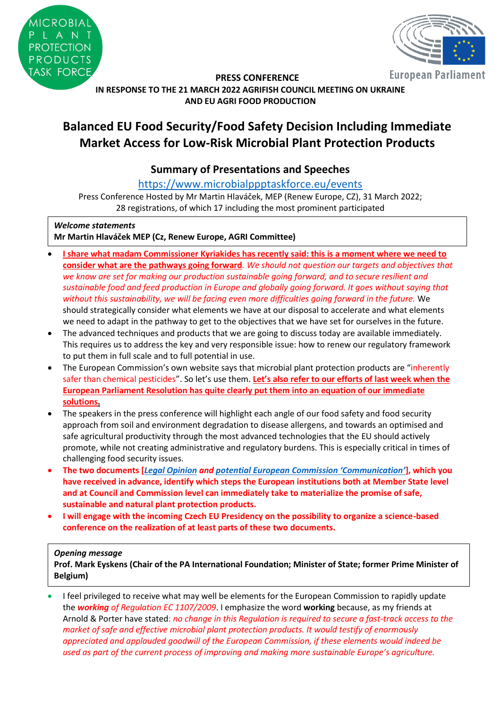



**European Parliament** 

### **PRESS CONFERENCE IN RESPONSE TO THE 21 MARCH 2022 AGRIFISH COUNCIL MEETING ON UKRAINE AND EU AGRI FOOD PRODUCTION**

# **Balanced EU Food Security/Food Safety Decision Including Immediate Market Access for Low-Risk Microbial Plant Protection Products**

# **Summary of Presentations and Speeches**

<https://www.microbialppptaskforce.eu/events>

Press Conference Hosted by Mr Martin Hlaváček, MEP (Renew Europe, CZ), 31 March 2022; 28 registrations, of which 17 including the most prominent participated

# *Welcome statements*

**Mr Martin Hlaváček MEP (Cz, Renew Europe, AGRI Committee)**

- **I share what madam Commissioner Kyriakides has recently said: this is a moment where we need to consider what are the pathways going forward***. We should not question our targets and objectives that we know are set for making our production sustainable going forward, and to secure resilient and sustainable food and feed production in Europe and globally going forward. It goes without saying that without this sustainability, we will be facing even more difficulties going forward in the future.* We should strategically consider what elements we have at our disposal to accelerate and what elements we need to adapt in the pathway to get to the objectives that we have set for ourselves in the future.
- The advanced techniques and products that we are going to discuss today are available immediately. This requires us to address the key and very responsible issue: how to renew our regulatory framework to put them in full scale and to full potential in use.
- The European Commission's own website says that microbial plant protection products are "inherently" safer than chemical pesticides". So let's use them. **Let's also refer to our efforts of last week when the European Parliament Resolution has quite clearly put them into an equation of our immediate solutions.**
- The speakers in the press conference will highlight each angle of our food safety and food security approach from soil and environment degradation to disease allergens, and towards an optimised and safe agricultural productivity through the most advanced technologies that the EU should actively promote, while not creating administrative and regulatory burdens. This is especially critical in times of challenging food security issues.
- **The two documents [***[Legal Opinion](https://www.microbialppptaskforce.eu/_files/ugd/01565c_4c95d26f692945c482613fd78138c1f8.pdf) and [potential European Commission 'Communication'](https://www.microbialppptaskforce.eu/_files/ugd/01565c_045c880189ba4af3ab65001b7e596eff.pdf)***], which you have received in advance, identify which steps the European institutions both at Member State level and at Council and Commission level can immediately take to materialize the promise of safe, sustainable and natural plant protection products.**
- **I will engage with the incoming Czech EU Presidency on the possibility to organize a science-based conference on the realization of at least parts of these two documents.**

### *Opening message*

**Prof. Mark Eyskens (Chair of the PA International Foundation; Minister of State; former Prime Minister of Belgium)**

• I feel privileged to receive what may well be elements for the European Commission to rapidly update the *working of Regulation EC 1107/2009*. I emphasize the word **working** because, as my friends at Arnold & Porter have stated: *no change in this Regulation is required to secure a fast-track access to the market of safe and effective microbial plant protection products. It would testify of enormously appreciated and applauded goodwill of the European Commission, if these elements would indeed be used as part of the current process of improving and making more sustainable Europe's agriculture.*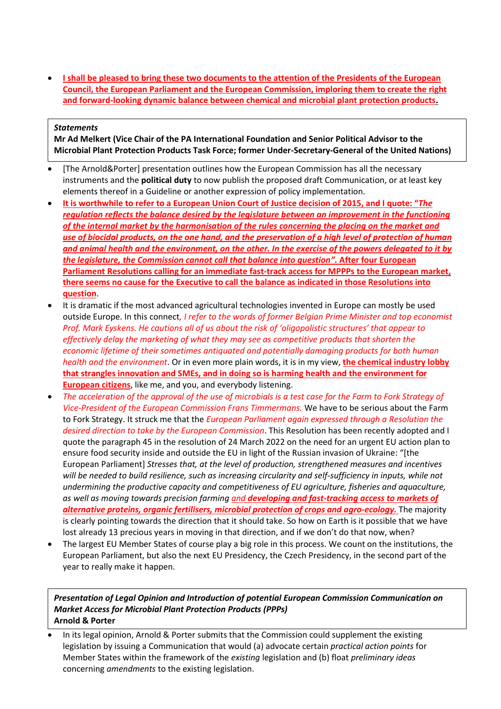• **I shall be pleased to bring these two documents to the attention of the Presidents of the European Council, the European Parliament and the European Commission, imploring them to create the right and forward-looking dynamic balance between chemical and microbial plant protection products.**

#### *Statements*

**Mr Ad Melkert (Vice Chair of the PA International Foundation and Senior Political Advisor to the Microbial Plant Protection Products Task Force; former Under-Secretary-General of the United Nations)**

- [The Arnold&Porter] presentation outlines how the European Commission has all the necessary instruments and the **political duty** to now publish the proposed draft Communication, or at least key elements thereof in a Guideline or another expression of policy implementation.
- **It is worthwhile to refer to a European Union Court of Justice decision of 2015, and I quote: "***The regulation reflects the balance desired by the legislature between an improvement in the functioning of the internal market by the harmonisation of the rules concerning the placing on the market and use of biocidal products, on the one hand, and the preservation of a high level of protection of human and animal health and the environment, on the other. In the exercise of the powers delegated to it by the legislature, the Commission cannot call that balance into question".* **After four European Parliament Resolutions calling for an immediate fast-track access for MPPPs to the European market, there seems no cause for the Executive to call the balance as indicated in those Resolutions into question**.
- It is dramatic if the most advanced agricultural technologies invented in Europe can mostly be used outside Europe. In this connect*, I refer to the words of former Belgian Prime Minister and top economist Prof. Mark Eyskens. He cautions all of us about the risk of 'oligopolistic structures' that appear to effectively delay the marketing of what they may see as competitive products that shorten the economic lifetime of their sometimes antiquated and potentially damaging products for both human health and the environment*. Or in even more plain words, it is in my view, **the chemical industry lobby that strangles innovation and SMEs, and in doing so is harming health and the environment for European citizens**, like me, and you, and everybody listening.
- *The acceleration of the approval of the use of microbials is a test case for the Farm to Fork Strategy of Vice-President of the European Commission Frans Timmermans.* We have to be serious about the Farm to Fork Strategy. It struck me that the *European Parliament again expressed through a Resolution the desired direction to take by the European Commission*. This Resolution has been recently adopted and I quote the paragraph 45 in the resolution of 24 March 2022 on the need for an urgent EU action plan to ensure food security inside and outside the EU in light of the Russian invasion of Ukraine: "[the European Parliament] *Stresses that, at the level of production, strengthened measures and incentives will be needed to build resilience, such as increasing circularity and self-sufficiency in inputs, while not undermining the productive capacity and competitiveness of EU agriculture, fisheries and aquaculture, as well as moving towards precision farming and developing and fast-tracking access to markets of alternative proteins, organic fertilisers, microbial protection of crops and agro-ecology.* The majority is clearly pointing towards the direction that it should take. So how on Earth is it possible that we have lost already 13 precious years in moving in that direction, and if we don't do that now, when?
- The largest EU Member States of course play a big role in this process. We count on the institutions, the European Parliament, but also the next EU Presidency, the Czech Presidency, in the second part of the year to really make it happen.

*Presentation of Legal Opinion and Introduction of potential European Commission Communication on Market Access for Microbial Plant Protection Products (PPPs)*  **Arnold & Porter**

• In its legal opinion, Arnold & Porter submits that the Commission could supplement the existing legislation by issuing a Communication that would (a) advocate certain *practical action points* for Member States within the framework of the *existing* legislation and (b) float *preliminary ideas* concerning *amendments* to the existing legislation.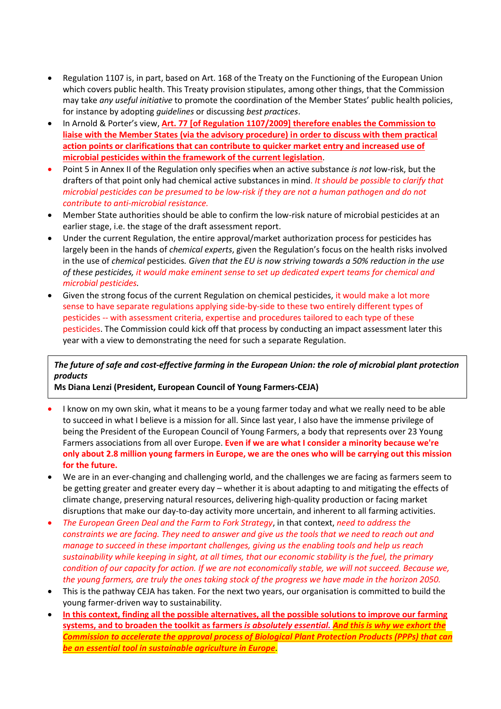- Regulation 1107 is, in part, based on Art. 168 of the Treaty on the Functioning of the European Union which covers public health. This Treaty provision stipulates, among other things, that the Commission may take *any useful initiative* to promote the coordination of the Member States' public health policies, for instance by adopting *guidelines* or discussing *best practices*.
- In Arnold & Porter's view, **Art. 77 [of Regulation 1107/2009] therefore enables the Commission to liaise with the Member States (via the advisory procedure) in order to discuss with them practical action points or clarifications that can contribute to quicker market entry and increased use of microbial pesticides within the framework of the current legislation**.
- Point 5 in Annex II of the Regulation only specifies when an active substance *is not* low-risk, but the drafters of that point only had chemical active substances in mind. *It should be possible to clarify that microbial pesticides can be presumed to be low-risk if they are not a human pathogen and do not contribute to anti-microbial resistance.*
- Member State authorities should be able to confirm the low-risk nature of microbial pesticides at an earlier stage, i.e. the stage of the draft assessment report.
- Under the current Regulation, the entire approval/market authorization process for pesticides has largely been in the hands of *chemical experts*, given the Regulation's focus on the health risks involved in the use of *chemical* pesticides*. Given that the EU is now striving towards a 50% reduction in the use of these pesticides, it would make eminent sense to set up dedicated expert teams for chemical and microbial pesticides.*
- Given the strong focus of the current Regulation on chemical pesticides, it would make a lot more sense to have separate regulations applying side-by-side to these two entirely different types of pesticides -- with assessment criteria, expertise and procedures tailored to each type of these pesticides. The Commission could kick off that process by conducting an impact assessment later this year with a view to demonstrating the need for such a separate Regulation.

# *The future of safe and cost-effective farming in the European Union: the role of microbial plant protection products*

**Ms Diana Lenzi (President, European Council of Young Farmers-CEJA)**

- I know on my own skin, what it means to be a young farmer today and what we really need to be able to succeed in what I believe is a mission for all. Since last year, I also have the immense privilege of being the President of the European Council of Young Farmers, a body that represents over 23 Young Farmers associations from all over Europe. **Even if we are what I consider a minority because we're only about 2.8 million young farmers in Europe, we are the ones who will be carrying out this mission for the future.**
- We are in an ever-changing and challenging world, and the challenges we are facing as farmers seem to be getting greater and greater every day – whether it is about adapting to and mitigating the effects of climate change, preserving natural resources, delivering high-quality production or facing market disruptions that make our day-to-day activity more uncertain, and inherent to all farming activities.
- *The European Green Deal and the Farm to Fork Strategy*, in that context, *need to address the constraints we are facing. They need to answer and give us the tools that we need to reach out and manage to succeed in these important challenges, giving us the enabling tools and help us reach sustainability while keeping in sight, at all times, that our economic stability is the fuel, the primary condition of our capacity for action. If we are not economically stable, we will not succeed. Because we, the young farmers, are truly the ones taking stock of the progress we have made in the horizon 2050.*
- This is the pathway CEJA has taken. For the next two years, our organisation is committed to build the young farmer-driven way to sustainability.
- **In this context, finding all the possible alternatives, all the possible solutions to improve our farming systems, and to broaden the toolkit as farmers** *is absolutely essential. And this is why we exhort the Commission to accelerate the approval process of Biological Plant Protection Products (PPPs) that can be an essential tool in sustainable agriculture in Europe.*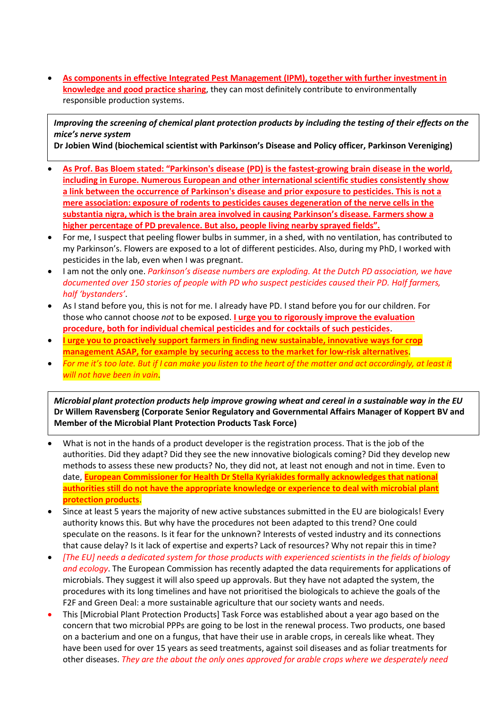• **As components in effective Integrated Pest Management (IPM), together with further investment in knowledge and good practice sharing**, they can most definitely contribute to environmentally responsible production systems.

*Improving the screening of chemical plant protection products by including the testing of their effects on the mice's nerve system*

**Dr Jobien Wind (biochemical scientist with Parkinson's Disease and Policy officer, Parkinson Vereniging)**

- **As Prof. Bas Bloem stated: "Parkinson's disease (PD) is the fastest-growing brain disease in the world, including in Europe. Numerous European and other international scientific studies consistently show a link between the occurrence of Parkinson's disease and prior exposure to pesticides. This is not a mere association: exposure of rodents to pesticides causes degeneration of the nerve cells in the substantia nigra, which is the brain area involved in causing Parkinson's disease. Farmers show a higher percentage of PD prevalence. But also, people living nearby sprayed fields".**
- For me, I suspect that peeling flower bulbs in summer, in a shed, with no ventilation, has contributed to my Parkinson's. Flowers are exposed to a lot of different pesticides. Also, during my PhD, I worked with pesticides in the lab, even when I was pregnant.
- I am not the only one. *Parkinson's disease numbers are exploding. At the Dutch PD association, we have documented over 150 stories of people with PD who suspect pesticides caused their PD. Half farmers, half 'bystanders'*.
- As I stand before you, this is not for me. I already have PD. I stand before you for our children. For those who cannot choose *not* to be exposed. **I urge you to rigorously improve the evaluation procedure, both for individual chemical pesticides and for cocktails of such pesticides**.
- **I urge you to proactively support farmers in finding new sustainable, innovative ways for crop management ASAP, for example by securing access to the market for low-risk alternatives**.
- *For me it's too late. But if I can make you listen to the heart of the matter and act accordingly, at least it will not have been in vain*.

*Microbial plant protection products help improve growing wheat and cereal in a sustainable way in the EU* **Dr Willem Ravensberg (Corporate Senior Regulatory and Governmental Affairs Manager of Koppert BV and Member of the Microbial Plant Protection Products Task Force)**

- What is not in the hands of a product developer is the registration process. That is the job of the authorities. Did they adapt? Did they see the new innovative biologicals coming? Did they develop new methods to assess these new products? No, they did not, at least not enough and not in time. Even to date, **European Commissioner for Health Dr Stella Kyriakides formally acknowledges that national authorities still do not have the appropriate knowledge or experience to deal with microbial plant protection products**.
- Since at least 5 years the majority of new active substances submitted in the EU are biologicals! Every authority knows this. But why have the procedures not been adapted to this trend? One could speculate on the reasons. Is it fear for the unknown? Interests of vested industry and its connections that cause delay? Is it lack of expertise and experts? Lack of resources? Why not repair this in time?
- *[The EU] needs a dedicated system for those products with experienced scientists in the fields of biology and ecology*. The European Commission has recently adapted the data requirements for applications of microbials. They suggest it will also speed up approvals. But they have not adapted the system, the procedures with its long timelines and have not prioritised the biologicals to achieve the goals of the F2F and Green Deal: a more sustainable agriculture that our society wants and needs.
- This [Microbial Plant Protection Products] Task Force was established about a year ago based on the concern that two microbial PPPs are going to be lost in the renewal process. Two products, one based on a bacterium and one on a fungus, that have their use in arable crops, in cereals like wheat. They have been used for over 15 years as seed treatments, against soil diseases and as foliar treatments for other diseases. *They are the about the only ones approved for arable crops where we desperately need*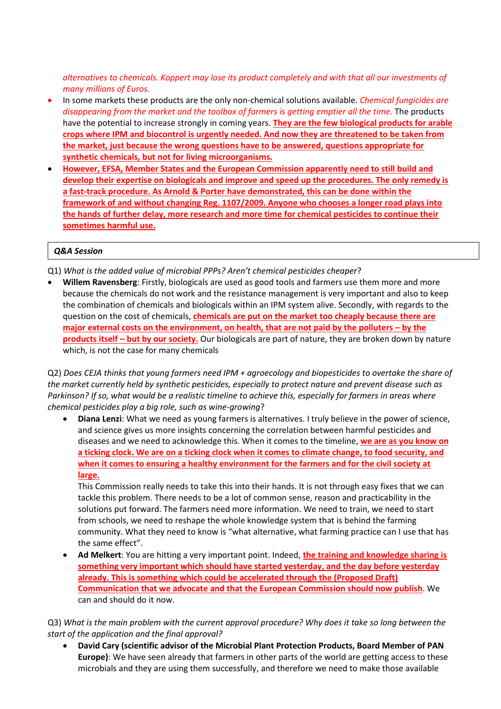*alternatives to chemicals. Koppert may lose its product completely and with that all our investments of many millions of Euros.* 

- In some markets these products are the only non-chemical solutions available. *Chemical fungicides are disappearing from the market and the toolbox of farmers is getting emptier all the time.* The products have the potential to increase strongly in coming years. **They are the few biological products for arable crops where IPM and biocontrol is urgently needed. And now they are threatened to be taken from the market, just because the wrong questions have to be answered, questions appropriate for synthetic chemicals, but not for living microorganisms.**
- **However, EFSA, Member States and the European Commission apparently need to still build and develop their expertise on biologicals and improve and speed up the procedures. The only remedy is a fast-track procedure. As Arnold & Porter have demonstrated, this can be done within the framework of and without changing Reg. 1107/2009. Anyone who chooses a longer road plays into the hands of further delay, more research and more time for chemical pesticides to continue their sometimes harmful use.**

#### *Q&A Session*

Q1) *What is the added value of microbial PPPs? Aren't chemical pesticides cheaper*?

• **Willem Ravensberg**: Firstly, biologicals are used as good tools and farmers use them more and more because the chemicals do not work and the resistance management is very important and also to keep the combination of chemicals and biologicals within an IPM system alive. Secondly, with regards to the question on the cost of chemicals, **chemicals are put on the market too cheaply because there are major external costs on the environment, on health, that are not paid by the polluters – by the products itself – but by our society.** Our biologicals are part of nature, they are broken down by nature which, is not the case for many chemicals

Q2) *Does CEJA thinks that young farmers need IPM + agroecology and biopesticides to overtake the share of the market currently held by synthetic pesticides, especially to protect nature and prevent disease such as Parkinson? If so, what would be a realistic timeline to achieve this, especially for farmers in areas where chemical pesticides play a big role, such as wine-growing*?

• **Diana Lenzi**: What we need as young farmers is alternatives. I truly believe in the power of science, and science gives us more insights concerning the correlation between harmful pesticides and diseases and we need to acknowledge this. When it comes to the timeline, **we are as you know on a ticking clock. We are on a ticking clock when it comes to climate change, to food security, and when it comes to ensuring a healthy environment for the farmers and for the civil society at large.** 

This Commission really needs to take this into their hands. It is not through easy fixes that we can tackle this problem. There needs to be a lot of common sense, reason and practicability in the solutions put forward. The farmers need more information. We need to train, we need to start from schools, we need to reshape the whole knowledge system that is behind the farming community. What they need to know is "what alternative, what farming practice can I use that has the same effect".

• **Ad Melkert**: You are hitting a very important point. Indeed, **the training and knowledge sharing is something very important which should have started yesterday, and the day before yesterday already. This is something which could be accelerated through the (Proposed Draft) Communication that we advocate and that the European Commission should now publish**. We can and should do it now.

Q3) *What is the main problem with the current approval procedure? Why does it take so long between the start of the application and the final approval?* 

• **David Cary (scientific advisor of the Microbial Plant Protection Products, Board Member of PAN Europe)**: We have seen already that farmers in other parts of the world are getting access to these microbials and they are using them successfully, and therefore we need to make those available